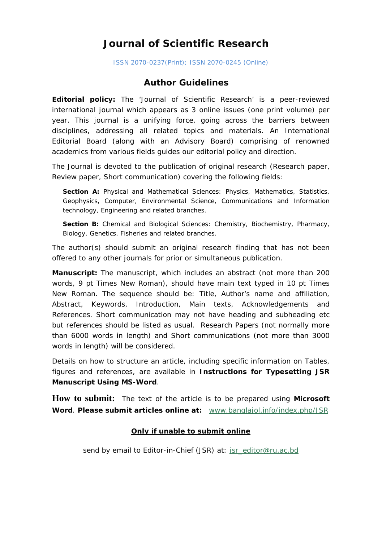# **Journal of Scientific Research**

ISSN 2070-0237(Print); ISSN 2070-0245 (Online)

# **Author Guidelines**

**Editorial policy:** The 'Journal of Scientific Research' is a peer-reviewed international journal which appears as 3 online issues (one print volume) per year. This journal is a unifying force, going across the barriers between disciplines, addressing all related topics and materials. An International Editorial Board (along with an Advisory Board) comprising of renowned academics from various fields guides our editorial policy and direction.

The Journal is devoted to the publication of original research (Research paper, Review paper, Short communication) covering the following fields:

**Section A:** Physical and Mathematical Sciences: Physics, Mathematics, Statistics, Geophysics, Computer, Environmental Science, Communications and Information technology, Engineering and related branches.

**Section B:** Chemical and Biological Sciences: Chemistry, Biochemistry, Pharmacy, Biology, Genetics, Fisheries and related branches.

The author(s) should submit an original research finding that has not been offered to any other journals for prior or simultaneous publication.

**Manuscript:** The manuscript, which includes an abstract (not more than 200 words, 9 pt Times New Roman), should have main text typed in 10 pt Times New Roman. The sequence should be: Title, Author's name and affiliation, Abstract, Keywords, Introduction, Main texts, Acknowledgements and References. Short communication may not have heading and subheading etc but references should be listed as usual. Research Papers (not normally more than 6000 words in length) and Short communications (not more than 3000 words in length) will be considered.

Details on how to structure an article, including specific information on Tables, figures and references, are available in **Instructions for Typesetting JSR Manuscript Using MS-Word**.

**How to submit:** The text of the article is to be prepared using **Microsoft Word**. **Please submit articles online at:** [www.banglajol.info/index.php/JSR](http://www.banglajol.info/index.php/JSR)

## **Only if unable to submit online**

send by email to Editor-in-Chief (JSR) at: [jsr\\_editor@ru.ac.bd](mailto:jsr_editor@ru.ac.bd)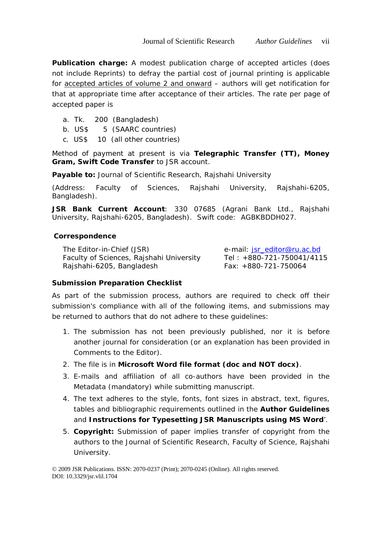**Publication charge:** A modest publication charge of accepted articles (does not include Reprints) to defray the partial cost of journal printing is applicable for accepted articles of volume 2 and onward – authors will get notification for that at appropriate time after acceptance of their articles. The rate per page of accepted paper is

- a. Tk. 200 (Bangladesh)
- b. US\$ 5 (SAARC countries)
- c. US\$ 10 (all other countries)

Method of payment at present is via **Telegraphic Transfer (TT), Money Gram, Swift Code Transfer** to JSR account.

**Payable to:** Journal of Scientific Research, Rajshahi University

(Address: Faculty of Sciences, Rajshahi University, Rajshahi-6205, Bangladesh).

**JSR Bank Current Account**: 330 07685 (Agrani Bank Ltd., Rajshahi University, Rajshahi-6205, Bangladesh). Swift code: AGBKBDDH027.

### **Correspondence**

The Editor-in-Chief (JSR) Faculty of Sciences, Rajshahi University Rajshahi-6205, Bangladesh e-mail: [jsr\\_editor@ru.ac.bd](mailto:jsr_editor@ru.ac.bd) Tel : +880-721-750041/4115 Fax: +880-721-750064

### **Submission Preparation Checklist**

As part of the submission process, authors are required to check off their submission's compliance with all of the following items, and submissions may be returned to authors that do not adhere to these guidelines:

- 1. The submission has not been previously published, nor it is before another journal for consideration (or an explanation has been provided in Comments to the Editor).
- 2. The file is in **Microsoft Word file format (doc and NOT docx)**.
- 3. E-mails and affiliation of all co-authors have been provided in the Metadata (mandatory) while submitting manuscript.
- 4. The text adheres to the style, fonts, font sizes in abstract, text, figures, tables and bibliographic requirements outlined in the **Author Guidelines** and **Instructions for Typesetting JSR Manuscripts using MS Word**'.
- 5. **Copyright:** Submission of paper implies transfer of copyright from the authors to the Journal of Scientific Research, Faculty of Science, Rajshahi University.

© 2009 JSR Publications. ISSN: 2070-0237 (Print); 2070-0245 (Online). All rights reserved. DOI: 10.3329/jsr.vlil.1704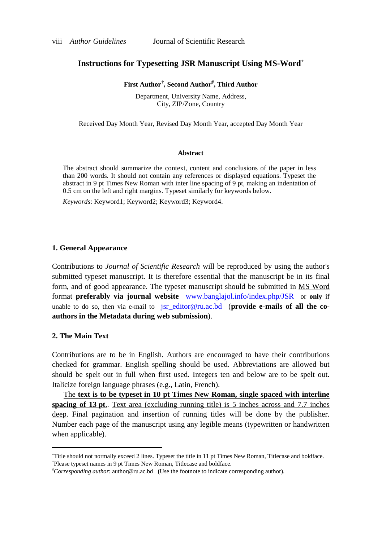### **Instructions for Typesetting JSR Manuscript Using MS-Word**[∗](#page-2-0)

#### **First Author[†](#page-2-1) , Second Author**# **, Third Author**

Department, University Name, Address, City, ZIP/Zone, Country

Received Day Month Year, Revised Day Month Year, accepted Day Month Year

#### **Abstract**

The abstract should summarize the context, content and conclusions of the paper in less than 200 words. It should not contain any references or displayed equations. Typeset the abstract in 9 pt Times New Roman with inter line spacing of 9 pt, making an indentation of 0.5 cm on the left and right margins. Typeset similarly for keywords below.

*Keywords*: Keyword1; Keyword2; Keyword3; Keyword4.

#### **1. General Appearance**

Contributions to *Journal of Scientific Research* will be reproduced by using the author's submitted typeset manuscript. It is therefore essential that the manuscript be in its final form, and of good appearance. The typeset manuscript should be submitted in MS Word format **preferably via journal website** [www.banglajol.info/index.php/JSR](http://www.banglajol.info/index.php/JSR/) or **only** if unable to do so, then via e-mail to [jsr\\_editor@ru.ac.bd](mailto:jsr_editor@ru.ac.bd) (**provide e-mails of all the coauthors in the Metadata during web submission**).

#### **2. The Main Text**

 $\overline{a}$ 

Contributions are to be in English. Authors are encouraged to have their contributions checked for grammar. English spelling should be used. Abbreviations are allowed but should be spelt out in full when first used. Integers ten and below are to be spelt out. Italicize foreign language phrases (e.g., Latin, French).

The **text is to be typeset in 10 pt Times New Roman, single spaced with interline spacing of 13 pt**.. Text area (excluding running title) is 5 inches across and 7.7 inches deep. Final pagination and insertion of running titles will be done by the publisher. Number each page of the manuscript using any legible means (typewritten or handwritten when applicable).

<span id="page-2-1"></span><span id="page-2-0"></span><sup>∗</sup> Title should not normally exceed 2 lines. Typeset the title in 11 pt Times New Roman, Titlecase and boldface. † Please typeset names in 9 pt Times New Roman, Titlecase and boldface.

<sup>#</sup> *Corresponding author*[: author@ru.ac.bd](mailto:author@ru.ac.bd) **(**Use the footnote to indicate corresponding author).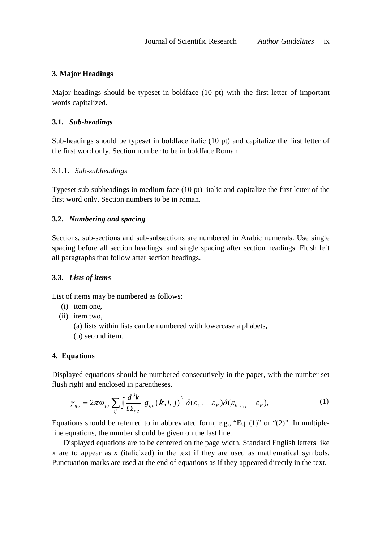## **3. Major Headings**

Major headings should be typeset in boldface (10 pt) with the first letter of important words capitalized.

### **3.1.** *Sub-headings*

Sub-headings should be typeset in boldface italic (10 pt) and capitalize the first letter of the first word only. Section number to be in boldface Roman.

### 3.1.1. *Sub-subheadings*

Typeset sub-subheadings in medium face (10 pt) italic and capitalize the first letter of the first word only. Section numbers to be in roman.

### **3.2.** *Numbering and spacing*

Sections, sub-sections and sub-subsections are numbered in Arabic numerals. Use single spacing before all section headings, and single spacing after section headings. Flush left all paragraphs that follow after section headings.

### **3.3.** *Lists of items*

List of items may be numbered as follows:

- (i) item one,
- (ii) item two,
	- (a) lists within lists can be numbered with lowercase alphabets,
	- (b) second item.

### **4. Equations**

Displayed equations should be numbered consecutively in the paper, with the number set flush right and enclosed in parentheses.

$$
\gamma_{qv} = 2\pi\omega_{qv} \sum_{ij} \int \frac{d^3k}{\Omega_{BZ}} \left| g_{qv}(\boldsymbol{k}, i, j) \right|^2 \delta(\varepsilon_{k,i} - \varepsilon_F) \delta(\varepsilon_{k+q,j} - \varepsilon_F), \tag{1}
$$

Equations should be referred to in abbreviated form, e.g., "Eq.  $(1)$ " or " $(2)$ ". In multipleline equations, the number should be given on the last line.

Displayed equations are to be centered on the page width. Standard English letters like x are to appear as *x* (italicized) in the text if they are used as mathematical symbols. Punctuation marks are used at the end of equations as if they appeared directly in the text.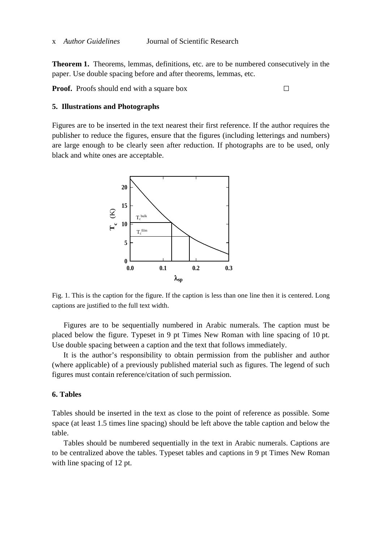**Theorem 1.** Theorems, lemmas, definitions, etc. are to be numbered consecutively in the paper. Use double spacing before and after theorems, lemmas, etc.

**Proof.** Proofs should end with a square box □

#### **5. Illustrations and Photographs**

Figures are to be inserted in the text nearest their first reference. If the author requires the publisher to reduce the figures, ensure that the figures (including letterings and numbers) are large enough to be clearly seen after reduction. If photographs are to be used, only black and white ones are acceptable.



Fig. 1. This is the caption for the figure. If the caption is less than one line then it is centered. Long captions are justified to the full text width.

Figures are to be sequentially numbered in Arabic numerals. The caption must be placed below the figure. Typeset in 9 pt Times New Roman with line spacing of 10 pt. Use double spacing between a caption and the text that follows immediately.

It is the author's responsibility to obtain permission from the publisher and author (where applicable) of a previously published material such as figures. The legend of such figures must contain reference/citation of such permission.

#### **6. Tables**

Tables should be inserted in the text as close to the point of reference as possible. Some space (at least 1.5 times line spacing) should be left above the table caption and below the table.

Tables should be numbered sequentially in the text in Arabic numerals. Captions are to be centralized above the tables. Typeset tables and captions in 9 pt Times New Roman with line spacing of 12 pt.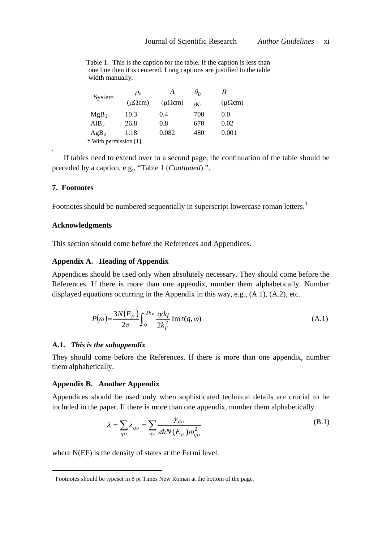| System           | $\rho_{\rm o}$    | А                 | $\theta_D$ | В                |
|------------------|-------------------|-------------------|------------|------------------|
|                  | $(\mu \Omega cm)$ | $(\mu \Omega cm)$ | (K)        | $(\mu\Omega cm)$ |
| MgB <sub>2</sub> | 10.3              | 0.4               | 700        | 0.0              |
| AlB <sub>2</sub> | 26.8              | 0.8               | 670        | 0.02             |
| AgB <sub>2</sub> | 1.18              | 0.082             | 480        | 0.001            |

 Table 1. This is the caption for the table. If the caption is less than one line then it is centered. Long captions are justified to the table width manually.

\* With permission [1].

If tables need to extend over to a second page, the continuation of the table should be preceded by a caption, e.g., "Table 1 (*Continued*).".

#### **7. Footnotes**

.

Footnotes should be numbered sequentially in superscript lowercase roman letters.<sup>[1](#page-5-0)</sup>

#### **Acknowledgments**

This section should come before the References and Appendices.

#### **Appendix A. Heading of Appendix**

Appendices should be used only when absolutely necessary. They should come before the References. If there is more than one appendix, number them alphabetically. Number displayed equations occurring in the Appendix in this way, e.g., (A.1), (A.2), etc.

$$
P(\omega) = \frac{3N(E_F)}{2\pi} \int_0^{2k_F} \frac{qdq}{2k_F^2} \operatorname{Im} t(q,\omega)
$$
 (A.1)

#### **A.1.** *This is the subappendix*

They should come before the References. If there is more than one appendix, number them alphabetically.

#### **Appendix B. Another Appendix**

Appendices should be used only when sophisticated technical details are crucial to be included in the paper. If there is more than one appendix, number them alphabetically.

$$
\lambda = \sum_{qv} \lambda_{qv} = \sum_{qv} \frac{\gamma_{qv}}{\pi \hbar N (E_F) \omega_{qv}^2}
$$
(B.1)

where N(EF) is the density of states at the Fermi level.

<span id="page-5-0"></span> $1$  Footnotes should be typeset in 8 pt Times New Roman at the bottom of the page.